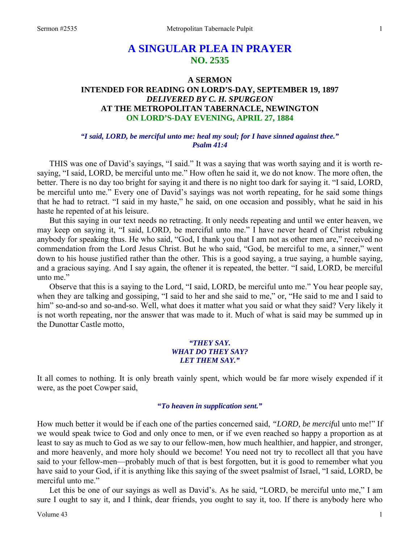# **A SINGULAR PLEA IN PRAYER NO. 2535**

# **A SERMON INTENDED FOR READING ON LORD'S-DAY, SEPTEMBER 19, 1897**  *DELIVERED BY C. H. SPURGEON*  **AT THE METROPOLITAN TABERNACLE, NEWINGTON ON LORD'S-DAY EVENING, APRIL 27, 1884**

## *"I said, LORD, be merciful unto me: heal my soul; for I have sinned against thee." Psalm 41:4*

THIS was one of David's sayings, "I said." It was a saying that was worth saying and it is worth resaying, "I said, LORD, be merciful unto me." How often he said it, we do not know. The more often, the better. There is no day too bright for saying it and there is no night too dark for saying it. "I said, LORD, be merciful unto me." Every one of David's sayings was not worth repeating, for he said some things that he had to retract. "I said in my haste," he said, on one occasion and possibly, what he said in his haste he repented of at his leisure.

But this saying in our text needs no retracting. It only needs repeating and until we enter heaven, we may keep on saying it, "I said, LORD, be merciful unto me." I have never heard of Christ rebuking anybody for speaking thus. He who said, "God, I thank you that I am not as other men are," received no commendation from the Lord Jesus Christ. But he who said, "God, be merciful to me, a sinner," went down to his house justified rather than the other. This is a good saying, a true saying, a humble saying, and a gracious saying. And I say again, the oftener it is repeated, the better. "I said, LORD, be merciful unto me."

Observe that this is a saying to the Lord, "I said, LORD, be merciful unto me." You hear people say, when they are talking and gossiping, "I said to her and she said to me," or, "He said to me and I said to him" so-and-so and so-and-so. Well, what does it matter what you said or what they said? Very likely it is not worth repeating, nor the answer that was made to it. Much of what is said may be summed up in the Dunottar Castle motto,

#### *"THEY SAY. WHAT DO THEY SAY? LET THEM SAY."*

It all comes to nothing. It is only breath vainly spent, which would be far more wisely expended if it were, as the poet Cowper said,

#### **"***To heaven in supplication sent."*

How much better it would be if each one of the parties concerned said, *"LORD, be mercif*ul unto me!" If we would speak twice to God and only once to men, or if we even reached so happy a proportion as at least to say as much to God as we say to our fellow-men, how much healthier, and happier, and stronger, and more heavenly, and more holy should we become! You need not try to recollect all that you have said to your fellow-men—probably much of that is best forgotten, but it is good to remember what you have said to your God, if it is anything like this saying of the sweet psalmist of Israel, "I said, LORD, be merciful unto me."

Let this be one of our sayings as well as David's. As he said, "LORD, be merciful unto me," I am sure I ought to say it, and I think, dear friends, you ought to say it, too. If there is anybody here who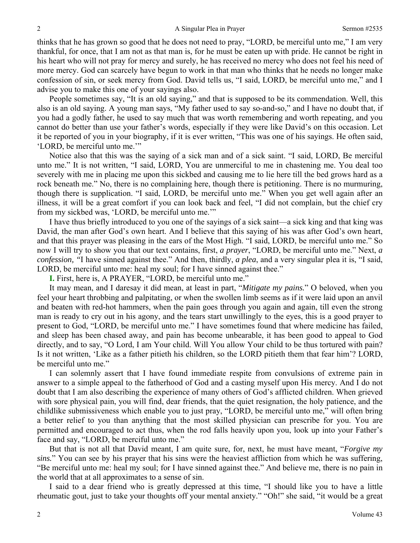thinks that he has grown so good that he does not need to pray, "LORD, be merciful unto me," I am very thankful, for once, that I am not as that man is, for he must be eaten up with pride. He cannot be right in his heart who will not pray for mercy and surely, he has received no mercy who does not feel his need of more mercy. God can scarcely have begun to work in that man who thinks that he needs no longer make confession of sin, or seek mercy from God. David tells us, "I said, LORD, be merciful unto me," and I advise you to make this one of your sayings also.

People sometimes say, "It is an old saying," and that is supposed to be its commendation. Well, this also is an old saying. A young man says, "My father used to say so-and-so," and I have no doubt that, if you had a godly father, he used to say much that was worth remembering and worth repeating, and you cannot do better than use your father's words, especially if they were like David's on this occasion. Let it be reported of you in your biography, if it is ever written, "This was one of his sayings. He often said, 'LORD, be merciful unto me.'"

Notice also that this was the saying of a sick man and of a sick saint. "I said, LORD, Be merciful unto me." It is not written, "I said, LORD, You are unmerciful to me in chastening me. You deal too severely with me in placing me upon this sickbed and causing me to lie here till the bed grows hard as a rock beneath me." No, there is no complaining here, though there is petitioning. There is no murmuring, though there is supplication. "I said, LORD, be merciful unto me." When you get well again after an illness, it will be a great comfort if you can look back and feel, "I did not complain, but the chief cry from my sickbed was, 'LORD, be merciful unto me.'"

I have thus briefly introduced to you one of the sayings of a sick saint—a sick king and that king was David, the man after God's own heart. And I believe that this saying of his was after God's own heart, and that this prayer was pleasing in the ears of the Most High. "I said, LORD, be merciful unto me." So now I will try to show you that our text contains, first, *a prayer*, "LORD, be merciful unto me." Next, *a confession, "*I have sinned against thee." And then, thirdly, *a plea*, and a very singular plea it is, "I said, LORD, be merciful unto me: heal my soul; for I have sinned against thee."

**I.** First, here is, A PRAYER, "LORD, be merciful unto me."

It may mean, and I daresay it did mean, at least in part, "*Mitigate my pains.*" O beloved, when you feel your heart throbbing and palpitating, or when the swollen limb seems as if it were laid upon an anvil and beaten with red-hot hammers, when the pain goes through you again and again, till even the strong man is ready to cry out in his agony, and the tears start unwillingly to the eyes, this is a good prayer to present to God, "LORD, be merciful unto me." I have sometimes found that where medicine has failed, and sleep has been chased away, and pain has become unbearable, it has been good to appeal to God directly, and to say, "O Lord, I am Your child. Will You allow Your child to be thus tortured with pain? Is it not written, 'Like as a father pitieth his children, so the LORD pitieth them that fear him'? LORD, be merciful unto me."

I can solemnly assert that I have found immediate respite from convulsions of extreme pain in answer to a simple appeal to the fatherhood of God and a casting myself upon His mercy. And I do not doubt that I am also describing the experience of many others of God's afflicted children. When grieved with sore physical pain, you will find, dear friends, that the quiet resignation, the holy patience, and the childlike submissiveness which enable you to just pray, "LORD, be merciful unto me," will often bring a better relief to you than anything that the most skilled physician can prescribe for you. You are permitted and encouraged to act thus, when the rod falls heavily upon you, look up into your Father's face and say, "LORD, be merciful unto me."

But that is not all that David meant, I am quite sure, for, next, he must have meant, "*Forgive my sins.*" You can see by his prayer that his sins were the heaviest affliction from which he was suffering, "Be merciful unto me: heal my soul; for I have sinned against thee." And believe me, there is no pain in the world that at all approximates to a sense of sin.

I said to a dear friend who is greatly depressed at this time, "I should like you to have a little rheumatic gout, just to take your thoughts off your mental anxiety." "Oh!" she said, "it would be a great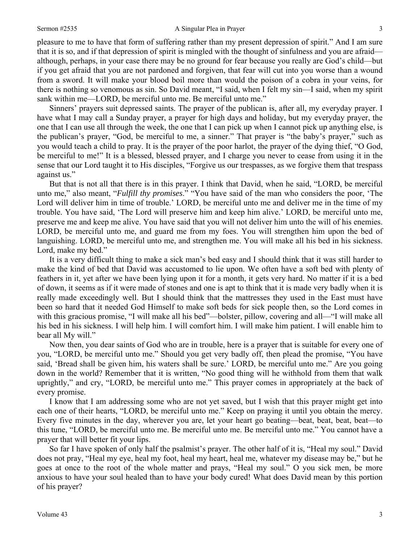#### Sermon #2535 **A Singular Plea in Prayer** 3

pleasure to me to have that form of suffering rather than my present depression of spirit." And I am sure that it is so, and if that depression of spirit is mingled with the thought of sinfulness and you are afraid although, perhaps, in your case there may be no ground for fear because you really are God's child—but if you get afraid that you are not pardoned and forgiven, that fear will cut into you worse than a wound from a sword. It will make your blood boil more than would the poison of a cobra in your veins, for there is nothing so venomous as sin. So David meant, "I said, when I felt my sin—I said, when my spirit sank within me—LORD, be merciful unto me. Be merciful unto me."

Sinners' prayers suit depressed saints. The prayer of the publican is, after all, my everyday prayer. I have what I may call a Sunday prayer, a prayer for high days and holiday, but my everyday prayer, the one that I can use all through the week, the one that I can pick up when I cannot pick up anything else, is the publican's prayer, "God, be merciful to me, a sinner." That prayer is "the baby's prayer," such as you would teach a child to pray. It is the prayer of the poor harlot, the prayer of the dying thief, "O God, be merciful to me!" It is a blessed, blessed prayer, and I charge you never to cease from using it in the sense that our Lord taught it to His disciples, "Forgive us our trespasses, as we forgive them that trespass against us."

But that is not all that there is in this prayer. I think that David, when he said, "LORD, be merciful unto me," also meant, "*Fulfill thy promises*." "You have said of the man who considers the poor, 'The Lord will deliver him in time of trouble.' LORD, be merciful unto me and deliver me in the time of my trouble. You have said, 'The Lord will preserve him and keep him alive.' LORD, be merciful unto me, preserve me and keep me alive. You have said that you will not deliver him unto the will of his enemies. LORD, be merciful unto me, and guard me from my foes. You will strengthen him upon the bed of languishing. LORD, be merciful unto me, and strengthen me. You will make all his bed in his sickness. Lord, make my bed."

It is a very difficult thing to make a sick man's bed easy and I should think that it was still harder to make the kind of bed that David was accustomed to lie upon. We often have a soft bed with plenty of feathers in it, yet after we have been lying upon it for a month, it gets very hard. No matter if it is a bed of down, it seems as if it were made of stones and one is apt to think that it is made very badly when it is really made exceedingly well. But I should think that the mattresses they used in the East must have been so hard that it needed God Himself to make soft beds for sick people then, so the Lord comes in with this gracious promise, "I will make all his bed"—bolster, pillow, covering and all—"I will make all his bed in his sickness. I will help him. I will comfort him. I will make him patient. I will enable him to bear all My will."

Now then, you dear saints of God who are in trouble, here is a prayer that is suitable for every one of you, "LORD, be merciful unto me." Should you get very badly off, then plead the promise, "You have said, 'Bread shall be given him, his waters shall be sure.' LORD, be merciful unto me." Are you going down in the world? Remember that it is written, "No good thing will he withhold from them that walk uprightly," and cry, "LORD, be merciful unto me." This prayer comes in appropriately at the back of every promise.

I know that I am addressing some who are not yet saved, but I wish that this prayer might get into each one of their hearts, "LORD, be merciful unto me." Keep on praying it until you obtain the mercy. Every five minutes in the day, wherever you are, let your heart go beating—beat, beat, beat, beat—to this tune, "LORD, be merciful unto me. Be merciful unto me. Be merciful unto me." You cannot have a prayer that will better fit your lips.

So far I have spoken of only half the psalmist's prayer. The other half of it is, "Heal my soul." David does not pray, "Heal my eye, heal my foot, heal my heart, heal me, whatever my disease may be," but he goes at once to the root of the whole matter and prays, "Heal my soul." O you sick men, be more anxious to have your soul healed than to have your body cured! What does David mean by this portion of his prayer?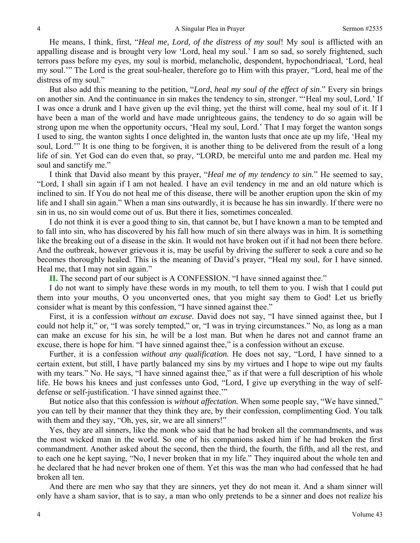He means, I think, first, "*Heal me, Lord, of the distress of my soul*! My soul is afflicted with an appalling disease and is brought very low 'Lord, heal my soul.' I am so sad, so sorely frightened, such terrors pass before my eyes, my soul is morbid, melancholic, despondent, hypochondriacal, 'Lord, heal my soul.'" The Lord is the great soul-healer, therefore go to Him with this prayer, "Lord, heal me of the distress of my soul."

But also add this meaning to the petition, "*Lord*, *heal my soul of the effect of sin*." Every sin brings on another sin. And the continuance in sin makes the tendency to sin, stronger. "'Heal my soul, Lord.' If I was once a drunk and I have given up the evil thing, yet the thirst will come, heal my soul of it. If I have been a man of the world and have made unrighteous gains, the tendency to do so again will be strong upon me when the opportunity occurs, 'Heal my soul, Lord.' That I may forget the wanton songs I used to sing, the wanton sights I once delighted in, the wanton lusts that once ate up my life, 'Heal my soul, Lord.'" It is one thing to be forgiven, it is another thing to be delivered from the result of a long life of sin. Yet God can do even that, so pray, "LORD, be merciful unto me and pardon me. Heal my soul and sanctify me."

I think that David also meant by this prayer, "*Heal me of my tendency to sin.*" He seemed to say, "Lord, I shall sin again if I am not healed. I have an evil tendency in me and an old nature which is inclined to sin. If You do not heal me of this disease, there will be another eruption upon the skin of my life and I shall sin again." When a man sins outwardly, it is because he has sin inwardly. If there were no sin in us, no sin would come out of us. But there it lies, sometimes concealed.

I do not think it is ever a good thing to sin, that cannot be, but I have known a man to be tempted and to fall into sin, who has discovered by his fall how much of sin there always was in him. It is something like the breaking out of a disease in the skin. It would not have broken out if it had not been there before. And the outbreak, however grievous it is, may be useful by driving the sufferer to seek a cure and so he becomes thoroughly healed. This is the meaning of David's prayer, "Heal my soul, for I have sinned. Heal me, that I may not sin again."

**II.** The second part of our subject is A CONFESSION. "I have sinned against thee."

I do not want to simply have these words in my mouth, to tell them to you. I wish that I could put them into your mouths, O you unconverted ones, that you might say them to God! Let us briefly consider what is meant by this confession, "I have sinned against thee."

First, it is a confession *without an excuse.* David does not say, "I have sinned against thee, but I could not help it," or, "I was sorely tempted," or, "I was in trying circumstances." No, as long as a man can make an excuse for his sin, he will be a lost man. But when he dares not and cannot frame an excuse, there is hope for him. "I have sinned against thee," is a confession without an excuse.

Further, it is a confession *without any qualification.* He does not say, "Lord, I have sinned to a certain extent, but still, I have partly balanced my sins by my virtues and I hope to wipe out my faults with my tears." No. He says, "I have sinned against thee," as if that were a full description of his whole life. He bows his knees and just confesses unto God, "Lord, I give up everything in the way of selfdefense or self-justification. 'I have sinned against thee.'"

But notice also that this confession is *without affectation.* When some people say, "We have sinned," you can tell by their manner that they think they are, by their confession, complimenting God. You talk with them and they say, "Oh, yes, sir, we are all sinners!"

Yes, they are all sinners, like the monk who said that he had broken all the commandments, and was the most wicked man in the world. So one of his companions asked him if he had broken the first commandment. Another asked about the second, then the third, the fourth, the fifth, and all the rest, and to each one he kept saying, "No, I never broken that in my life." They inquired about the whole ten and he declared that he had never broken one of them. Yet this was the man who had confessed that he had broken all ten.

And there are men who say that they are sinners, yet they do not mean it. And a sham sinner will only have a sham savior, that is to say, a man who only pretends to be a sinner and does not realize his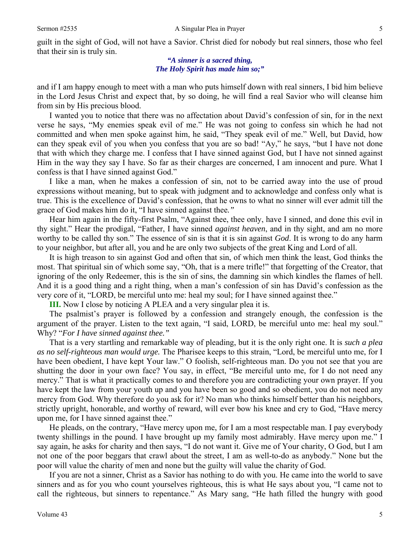guilt in the sight of God, will not have a Savior. Christ died for nobody but real sinners, those who feel that their sin is truly sin.

> *"A sinner is a sacred thing, The Holy Spirit has made him so;"*

and if I am happy enough to meet with a man who puts himself down with real sinners, I bid him believe in the Lord Jesus Christ and expect that, by so doing, he will find a real Savior who will cleanse him from sin by His precious blood.

I wanted you to notice that there was no affectation about David's confession of sin, for in the next verse he says, "My enemies speak evil of me." He was not going to confess sin which he had not committed and when men spoke against him, he said, "They speak evil of me." Well, but David, how can they speak evil of you when you confess that you are so bad! "Ay," he says, "but I have not done that with which they charge me. I confess that I have sinned against God, but I have not sinned against Him in the way they say I have. So far as their charges are concerned, I am innocent and pure. What I confess is that I have sinned against God."

I like a man, when he makes a confession of sin, not to be carried away into the use of proud expressions without meaning, but to speak with judgment and to acknowledge and confess only what is true. This is the excellence of David's confession, that he owns to what no sinner will ever admit till the grace of God makes him do it, "I have sinned against thee*."*

Hear him again in the fifty-first Psalm, "Against thee, thee only, have I sinned, and done this evil in thy sight." Hear the prodigal, "Father, I have sinned *against heaven*, and in thy sight, and am no more worthy to be called thy son." The essence of sin is that it is sin against *God*. It is wrong to do any harm to your neighbor, but after all, you and he are only two subjects of the great King and Lord of all.

It is high treason to sin against God and often that sin, of which men think the least, God thinks the most. That spiritual sin of which some say, "Oh, that is a mere trifle!" that forgetting of the Creator, that ignoring of the only Redeemer, this is the sin of sins, the damning sin which kindles the flames of hell. And it is a good thing and a right thing, when a man's confession of sin has David's confession as the very core of it, "LORD, be merciful unto me: heal my soul; for I have sinned against thee."

**III.** Now I close by noticing A PLEA and a very singular plea it is.

The psalmist's prayer is followed by a confession and strangely enough, the confession is the argument of the prayer. Listen to the text again, "I said, LORD, be merciful unto me: heal my soul." Why? "*For I have sinned against thee."* 

That is a very startling and remarkable way of pleading, but it is the only right one. It is *such a plea as no self-righteous man would urge.* The Pharisee keeps to this strain, "Lord, be merciful unto me, for I have been obedient, I have kept Your law." O foolish, self-righteous man. Do you not see that you are shutting the door in your own face? You say, in effect, "Be merciful unto me, for I do not need any mercy." That is what it practically comes to and therefore you are contradicting your own prayer. If you have kept the law from your youth up and you have been so good and so obedient, you do not need any mercy from God. Why therefore do you ask for it? No man who thinks himself better than his neighbors, strictly upright, honorable, and worthy of reward, will ever bow his knee and cry to God, "Have mercy upon me, for I have sinned against thee."

He pleads, on the contrary, "Have mercy upon me, for I am a most respectable man. I pay everybody twenty shillings in the pound. I have brought up my family most admirably. Have mercy upon me." I say again, he asks for charity and then says, "I do not want it. Give me of Your charity, O God, but I am not one of the poor beggars that crawl about the street, I am as well-to-do as anybody." None but the poor will value the charity of men and none but the guilty will value the charity of God.

If you are not a sinner, Christ as a Savior has nothing to do with you. He came into the world to save sinners and as for you who count yourselves righteous, this is what He says about you, "I came not to call the righteous, but sinners to repentance." As Mary sang, "He hath filled the hungry with good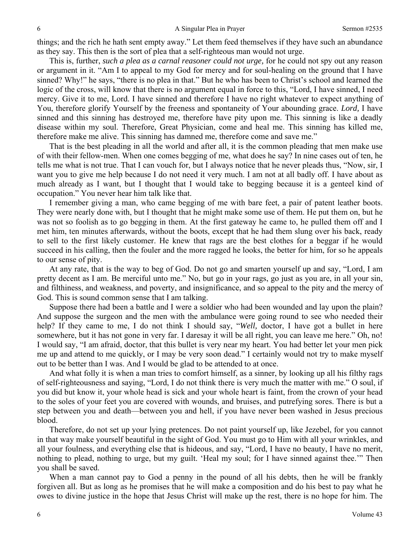things; and the rich he hath sent empty away." Let them feed themselves if they have such an abundance as they say. This then is the sort of plea that a self-righteous man would not urge.

This is, further, *such a plea as a carnal reasoner could not urge,* for he could not spy out any reason or argument in it. "Am I to appeal to my God for mercy and for soul-healing on the ground that I have sinned? Why!" he says, "there is no plea in that." But he who has been to Christ's school and learned the logic of the cross, will know that there is no argument equal in force to this, "Lord, I have sinned, I need mercy. Give it to me, Lord. I have sinned and therefore I have no right whatever to expect anything of You, therefore glorify Yourself by the freeness and spontaneity of Your abounding grace. *Lord,* I have sinned and this sinning has destroyed me, therefore have pity upon me. This sinning is like a deadly disease within my soul. Therefore, Great Physician, come and heal me. This sinning has killed me, therefore make me alive. This sinning has damned me, therefore come and save me."

That is the best pleading in all the world and after all, it is the common pleading that men make use of with their fellow-men. When one comes begging of me, what does he say? In nine cases out of ten, he tells me what is not true. That I can vouch for, but I always notice that he never pleads thus, "Now, sir, I want you to give me help because I do not need it very much. I am not at all badly off. I have about as much already as I want, but I thought that I would take to begging because it is a genteel kind of occupation." You never hear him talk like that.

I remember giving a man, who came begging of me with bare feet, a pair of patent leather boots. They were nearly done with, but I thought that he might make some use of them. He put them on, but he was not so foolish as to go begging in them. At the first gateway he came to, he pulled them off and I met him, ten minutes afterwards, without the boots, except that he had them slung over his back, ready to sell to the first likely customer. He knew that rags are the best clothes for a beggar if he would succeed in his calling, then the fouler and the more ragged he looks, the better for him, for so he appeals to our sense of pity.

At any rate, that is the way to beg of God. Do not go and smarten yourself up and say, "Lord, I am pretty decent as I am. Be merciful unto me." No, but go in your rags, go just as you are, in all your sin, and filthiness, and weakness, and poverty, and insignificance, and so appeal to the pity and the mercy of God. This is sound common sense that I am talking.

Suppose there had been a battle and I were a soldier who had been wounded and lay upon the plain? And suppose the surgeon and the men with the ambulance were going round to see who needed their help? If they came to me, I do not think I should say, "*Well,* doctor, I have got a bullet in here somewhere, but it has not gone in very far. I daresay it will be all right, you can leave me here." Oh, no! I would say, "I am afraid, doctor, that this bullet is very near my heart. You had better let your men pick me up and attend to me quickly, or I may be very soon dead." I certainly would not try to make myself out to be better than I was. And I would be glad to be attended to at once.

And what folly it is when a man tries to comfort himself, as a sinner, by looking up all his filthy rags of self-righteousness and saying, "Lord, I do not think there is very much the matter with me." O soul, if you did but know it, your whole head is sick and your whole heart is faint, from the crown of your head to the soles of your feet you are covered with wounds, and bruises, and putrefying sores. There is but a step between you and death—between you and hell, if you have never been washed in Jesus precious blood.

Therefore, do not set up your lying pretences. Do not paint yourself up, like Jezebel, for you cannot in that way make yourself beautiful in the sight of God. You must go to Him with all your wrinkles, and all your foulness, and everything else that is hideous, and say, "Lord, I have no beauty, I have no merit, nothing to plead, nothing to urge, but my guilt. 'Heal my soul; for I have sinned against thee.'" Then you shall be saved.

When a man cannot pay to God a penny in the pound of all his debts, then he will be frankly forgiven all. But as long as he promises that he will make a composition and do his best to pay what he owes to divine justice in the hope that Jesus Christ will make up the rest, there is no hope for him. The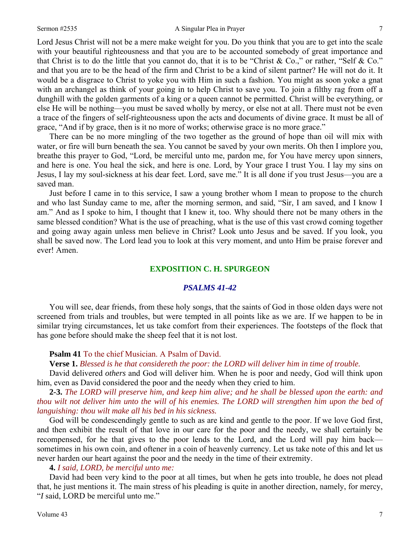#### Sermon #2535 **A Singular Plea in Prayer** 7

Lord Jesus Christ will not be a mere make weight for you. Do you think that you are to get into the scale with your beautiful righteousness and that you are to be accounted somebody of great importance and that Christ is to do the little that you cannot do, that it is to be "Christ & Co.," or rather, "Self & Co." and that you are to be the head of the firm and Christ to be a kind of silent partner? He will not do it. It would be a disgrace to Christ to yoke you with Him in such a fashion. You might as soon yoke a gnat with an archangel as think of your going in to help Christ to save you. To join a filthy rag from off a dunghill with the golden garments of a king or a queen cannot be permitted. Christ will be everything, or else He will be nothing—you must be saved wholly by mercy, or else not at all. There must not be even a trace of the fingers of self-righteousness upon the acts and documents of divine grace. It must be all of grace, "And if by grace, then is it no more of works; otherwise grace is no more grace."

There can be no more mingling of the two together as the ground of hope than oil will mix with water, or fire will burn beneath the sea. You cannot be saved by your own merits. Oh then I implore you, breathe this prayer to God, "Lord, be merciful unto me, pardon me, for You have mercy upon sinners, and here is one. You heal the sick, and here is one. Lord, by Your grace I trust You. I lay my sins on Jesus, I lay my soul-sickness at his dear feet. Lord, save me." It is all done if you trust Jesus—you are a saved man.

Just before I came in to this service, I saw a young brother whom I mean to propose to the church and who last Sunday came to me, after the morning sermon, and said, "Sir, I am saved, and I know I am." And as I spoke to him, I thought that I knew it, too. Why should there not be many others in the same blessed condition? What is the use of preaching, what is the use of this vast crowd coming together and going away again unless men believe in Christ? Look unto Jesus and be saved. If you look, you shall be saved now. The Lord lead you to look at this very moment, and unto Him be praise forever and ever! Amen.

### **EXPOSITION C. H. SPURGEON**

### *PSALMS 41-42*

You will see, dear friends, from these holy songs, that the saints of God in those olden days were not screened from trials and troubles, but were tempted in all points like as we are. If we happen to be in similar trying circumstances, let us take comfort from their experiences. The footsteps of the flock that has gone before should make the sheep feel that it is not lost.

#### **Psalm 41** To the chief Musician. A Psalm of David.

**Verse 1.** *Blessed is he that considereth the poor: the LORD will deliver him in time of trouble.*

David delivered *others* and God will deliver him. When he is poor and needy, God will think upon him, even as David considered the poor and the needy when they cried to him.

**2-3.** *The LORD will preserve him, and keep him alive; and he shall be blessed upon the earth: and thou wilt not deliver him unto the will of his enemies. The LORD will strengthen him upon the bed of languishing: thou wilt make all his bed in his sickness.* 

God will be condescendingly gentle to such as are kind and gentle to the poor. If we love God first, and then exhibit the result of that love in our care for the poor and the needy, we shall certainly be recompensed, for he that gives to the poor lends to the Lord, and the Lord will pay him back sometimes in his own coin, and oftener in a coin of heavenly currency. Let us take note of this and let us never harden our heart against the poor and the needy in the time of their extremity.

#### **4.** *I said, LORD, be merciful unto me:*

David had been very kind to the poor at all times, but when he gets into trouble, he does not plead that, he just mentions it. The main stress of his pleading is quite in another direction, namely, for mercy, "*I* said, LORD be merciful unto me."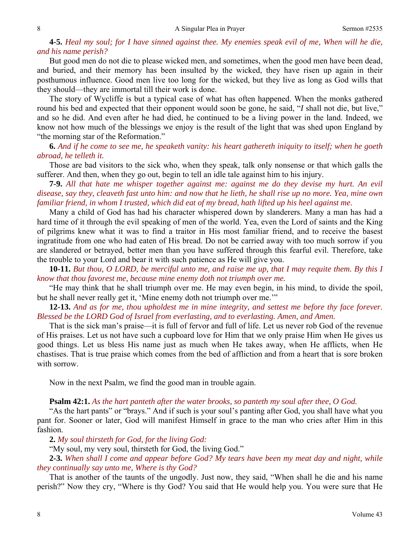## **4-5.** *Heal my soul; for I have sinned against thee. My enemies speak evil of me, When will he die, and his name perish?*

But good men do not die to please wicked men, and sometimes, when the good men have been dead, and buried, and their memory has been insulted by the wicked, they have risen up again in their posthumous influence. Good men live too long for the wicked, but they live as long as God wills that they should—they are immortal till their work is done.

The story of Wycliffe is but a typical case of what has often happened. When the monks gathered round his bed and expected that their opponent would soon be gone, he said, "*I* shall not die, but live," and so he did. And even after he had died, he continued to be a living power in the land. Indeed, we know not how much of the blessings we enjoy is the result of the light that was shed upon England by "the morning star of the Reformation."

**6.** *And if he come to see me, he speaketh vanity: his heart gathereth iniquity to itself; when he goeth abroad, he telleth it.*

Those are bad visitors to the sick who, when they speak, talk only nonsense or that which galls the sufferer. And then, when they go out, begin to tell an idle tale against him to his injury.

**7-9.** *All that hate me whisper together against me: against me do they devise my hurt. An evil disease, say they, cleaveth fast unto him: and now that he lieth, he shall rise up no more. Yea, mine own familiar friend, in whom I trusted, which did eat of my bread, hath lifted up his heel against me.*

Many a child of God has had his character whispered down by slanderers. Many a man has had a hard time of it through the evil speaking of men of the world. Yea, even the Lord of saints and the King of pilgrims knew what it was to find a traitor in His most familiar friend, and to receive the basest ingratitude from one who had eaten of His bread. Do not be carried away with too much sorrow if you are slandered or betrayed, better men than you have suffered through this fearful evil. Therefore, take the trouble to your Lord and bear it with such patience as He will give you.

**10-11.** *But thou, O LORD, be merciful unto me, and raise me up, that I may requite them. By this I know that thou favorest me, because mine enemy doth not triumph over me.*

"He may think that he shall triumph over me. He may even begin, in his mind, to divide the spoil, but he shall never really get it, 'Mine enemy doth not triumph over me.'"

**12-13.** *And as for me, thou upholdest me in mine integrity, and settest me before thy face forever. Blessed be the LORD God of Israel from everlasting, and to everlasting. Amen, and Amen.* 

That is the sick man's praise—it is full of fervor and full of life. Let us never rob God of the revenue of His praises. Let us not have such a cupboard love for Him that we only praise Him when He gives us good things. Let us bless His name just as much when He takes away, when He afflicts, when He chastises. That is true praise which comes from the bed of affliction and from a heart that is sore broken with sorrow.

Now in the next Psalm, we find the good man in trouble again.

#### **Psalm 42:1.** *As the hart panteth after the water brooks, so panteth my soul after thee, O God.*

"As the hart pants" or "brays." And if such is your soul's panting after God, you shall have what you pant for. Sooner or later, God will manifest Himself in grace to the man who cries after Him in this fashion.

**2.** *My soul thirsteth for God, for the living God:* 

"My soul, my very soul, thirsteth for God, the living God."

**2-3.** *When shall I come and appear before God? My tears have been my meat day and night, while they continually say unto me, Where is thy God?*

That is another of the taunts of the ungodly. Just now, they said, "When shall he die and his name perish?" Now they cry, "Where is thy God? You said that He would help you. You were sure that He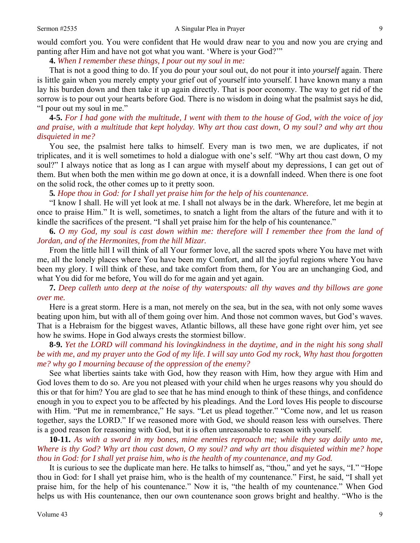would comfort you. You were confident that He would draw near to you and now you are crying and panting after Him and have not got what you want. 'Where is your God?'"

# **4.** *When I remember these things, I pour out my soul in me:*

That is not a good thing to do. If you do pour your soul out, do not pour it into *yourself* again. There is little gain when you merely empty your grief out of yourself into yourself. I have known many a man lay his burden down and then take it up again directly. That is poor economy. The way to get rid of the sorrow is to pour out your hearts before God. There is no wisdom in doing what the psalmist says he did, "I pour out my soul in me."

**4-5.** *For I had gone with the multitude, I went with them to the house of God, with the voice of joy and praise, with a multitude that kept holyday. Why art thou cast down, O my soul? and why art thou disquieted in me?* 

You see, the psalmist here talks to himself. Every man is two men, we are duplicates, if not triplicates, and it is well sometimes to hold a dialogue with one's self. "Why art thou cast down, O my soul?" I always notice that as long as I can argue with myself about my depressions, I can get out of them. But when both the men within me go down at once, it is a downfall indeed. When there is one foot on the solid rock, the other comes up to it pretty soon.

**5***. Hope thou in God: for I shall yet praise him for the help of his countenance.*

"I know I shall. He will yet look at me. I shall not always be in the dark. Wherefore, let me begin at once to praise Him." It is well, sometimes, to snatch a light from the altars of the future and with it to kindle the sacrifices of the present. "I shall yet praise him for the help of his countenance."

**6.** *O my God, my soul is cast down within me: therefore will I remember thee from the land of Jordan, and of the Hermonites, from the hill Mizar.*

From the little hill I will think of all Your former love, all the sacred spots where You have met with me, all the lonely places where You have been my Comfort, and all the joyful regions where You have been my glory. I will think of these, and take comfort from them, for You are an unchanging God, and what You did for me before, You will do for me again and yet again.

**7.** *Deep calleth unto deep at the noise of thy waterspouts: all thy waves and thy billows are gone over me.*

Here is a great storm. Here is a man, not merely on the sea, but in the sea, with not only some waves beating upon him, but with all of them going over him. And those not common waves, but God's waves. That is a Hebraism for the biggest waves, Atlantic billows, all these have gone right over him, yet see how he swims. Hope in God always crests the stormiest billow.

**8-9.** *Yet the LORD will command his lovingkindness in the daytime, and in the night his song shall be with me, and my prayer unto the God of my life. I will say unto God my rock, Why hast thou forgotten me? why go I mourning because of the oppression of the enemy?*

See what liberties saints take with God, how they reason with Him, how they argue with Him and God loves them to do so. Are you not pleased with your child when he urges reasons why you should do this or that for him? You are glad to see that he has mind enough to think of these things, and confidence enough in you to expect you to be affected by his pleadings. And the Lord loves His people to discourse with Him. "Put me in remembrance," He says. "Let us plead together." "Come now, and let us reason together, says the LORD." If we reasoned more with God, we should reason less with ourselves. There is a good reason for reasoning with God, but it is often unreasonable to reason with yourself.

**10-11.** *As with a sword in my bones, mine enemies reproach me; while they say daily unto me, Where is thy God? Why art thou cast down, O my soul? and why art thou disquieted within me? hope thou in God: for I shall yet praise him, who is the health of my countenance, and my God.* 

It is curious to see the duplicate man here. He talks to himself as, "thou," and yet he says, "I." "Hope thou in God: for I shall yet praise him, who is the health of my countenance." First, he said, "I shall yet praise him, for the help of his countenance." Now it is, "the health of my countenance." When God helps us with His countenance, then our own countenance soon grows bright and healthy. "Who is the